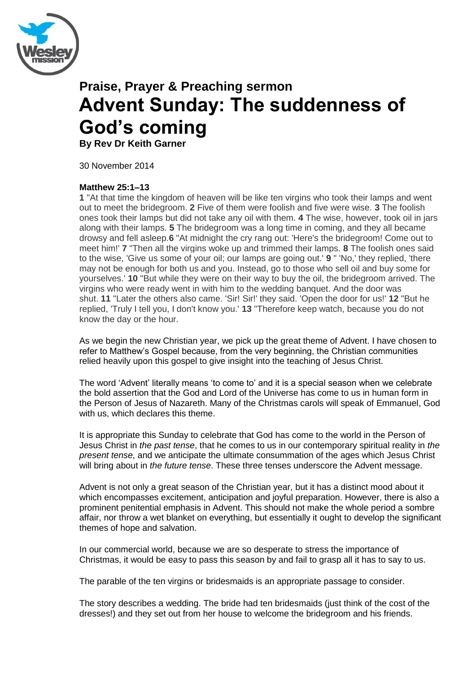

# **Praise, Prayer & Preaching sermon Advent Sunday: The suddenness of God's coming**

**By Rev Dr Keith Garner**

30 November 2014

### **Matthew 25:1–13**

**1** "At that time the kingdom of heaven will be like ten virgins who took their lamps and went out to meet the bridegroom. **2** Five of them were foolish and five were wise. **3** The foolish ones took their lamps but did not take any oil with them. **4** The wise, however, took oil in jars along with their lamps. **5** The bridegroom was a long time in coming, and they all became drowsy and fell asleep.**6** "At midnight the cry rang out: 'Here's the bridegroom! Come out to meet him!' **7** "Then all the virgins woke up and trimmed their lamps. **8** The foolish ones said to the wise, 'Give us some of your oil; our lamps are going out.' **9** " 'No,' they replied, 'there may not be enough for both us and you. Instead, go to those who sell oil and buy some for yourselves.' **10** "But while they were on their way to buy the oil, the bridegroom arrived. The virgins who were ready went in with him to the wedding banquet. And the door was shut. **11** "Later the others also came. 'Sir! Sir!' they said. 'Open the door for us!' **12** "But he replied, 'Truly I tell you, I don't know you.' **13** "Therefore keep watch, because you do not know the day or the hour.

As we begin the new Christian year, we pick up the great theme of Advent. I have chosen to refer to Matthew"s Gospel because, from the very beginning, the Christian communities relied heavily upon this gospel to give insight into the teaching of Jesus Christ.

The word "Advent" literally means "to come to" and it is a special season when we celebrate the bold assertion that the God and Lord of the Universe has come to us in human form in the Person of Jesus of Nazareth. Many of the Christmas carols will speak of Emmanuel, God with us, which declares this theme.

It is appropriate this Sunday to celebrate that God has come to the world in the Person of Jesus Christ in *the past tense*, that he comes to us in our contemporary spiritual reality in *the present tense*, and we anticipate the ultimate consummation of the ages which Jesus Christ will bring about in *the future tense*. These three tenses underscore the Advent message.

Advent is not only a great season of the Christian year, but it has a distinct mood about it which encompasses excitement, anticipation and joyful preparation. However, there is also a prominent penitential emphasis in Advent. This should not make the whole period a sombre affair, nor throw a wet blanket on everything, but essentially it ought to develop the significant themes of hope and salvation.

In our commercial world, because we are so desperate to stress the importance of Christmas, it would be easy to pass this season by and fail to grasp all it has to say to us.

The parable of the ten virgins or bridesmaids is an appropriate passage to consider.

The story describes a wedding. The bride had ten bridesmaids (just think of the cost of the dresses!) and they set out from her house to welcome the bridegroom and his friends.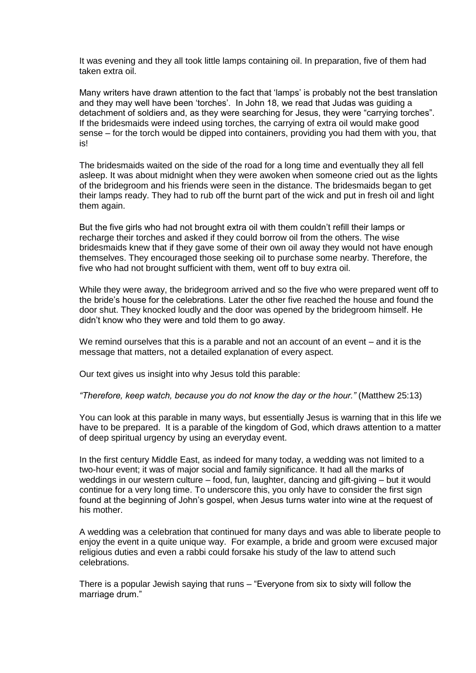It was evening and they all took little lamps containing oil. In preparation, five of them had taken extra oil.

Many writers have drawn attention to the fact that "lamps" is probably not the best translation and they may well have been "torches". In John 18, we read that Judas was guiding a detachment of soldiers and, as they were searching for Jesus, they were "carrying torches". If the bridesmaids were indeed using torches, the carrying of extra oil would make good sense – for the torch would be dipped into containers, providing you had them with you, that is!

The bridesmaids waited on the side of the road for a long time and eventually they all fell asleep. It was about midnight when they were awoken when someone cried out as the lights of the bridegroom and his friends were seen in the distance. The bridesmaids began to get their lamps ready. They had to rub off the burnt part of the wick and put in fresh oil and light them again.

But the five girls who had not brought extra oil with them couldn"t refill their lamps or recharge their torches and asked if they could borrow oil from the others. The wise bridesmaids knew that if they gave some of their own oil away they would not have enough themselves. They encouraged those seeking oil to purchase some nearby. Therefore, the five who had not brought sufficient with them, went off to buy extra oil.

While they were away, the bridegroom arrived and so the five who were prepared went off to the bride"s house for the celebrations. Later the other five reached the house and found the door shut. They knocked loudly and the door was opened by the bridegroom himself. He didn"t know who they were and told them to go away.

We remind ourselves that this is a parable and not an account of an event – and it is the message that matters, not a detailed explanation of every aspect.

Our text gives us insight into why Jesus told this parable:

*"Therefore, keep watch, because you do not know the day or the hour."* (Matthew 25:13)

You can look at this parable in many ways, but essentially Jesus is warning that in this life we have to be prepared. It is a parable of the kingdom of God, which draws attention to a matter of deep spiritual urgency by using an everyday event.

In the first century Middle East, as indeed for many today, a wedding was not limited to a two-hour event; it was of major social and family significance. It had all the marks of weddings in our western culture – food, fun, laughter, dancing and gift-giving – but it would continue for a very long time. To underscore this, you only have to consider the first sign found at the beginning of John"s gospel, when Jesus turns water into wine at the request of his mother.

A wedding was a celebration that continued for many days and was able to liberate people to enjoy the event in a quite unique way. For example, a bride and groom were excused major religious duties and even a rabbi could forsake his study of the law to attend such celebrations.

There is a popular Jewish saying that runs – "Everyone from six to sixty will follow the marriage drum."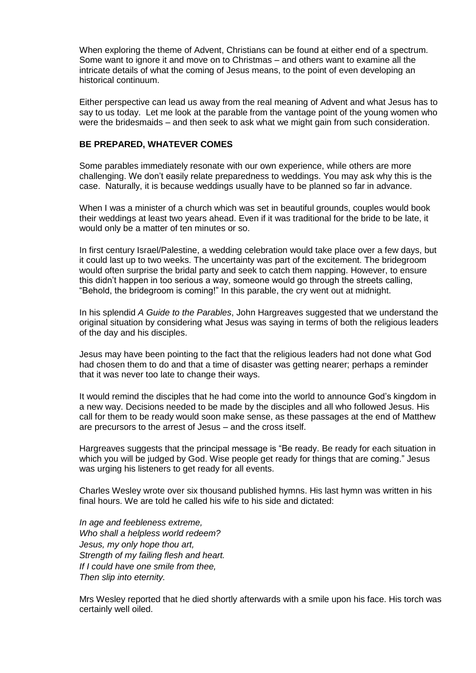When exploring the theme of Advent, Christians can be found at either end of a spectrum. Some want to ignore it and move on to Christmas – and others want to examine all the intricate details of what the coming of Jesus means, to the point of even developing an historical continuum.

Either perspective can lead us away from the real meaning of Advent and what Jesus has to say to us today. Let me look at the parable from the vantage point of the young women who were the bridesmaids – and then seek to ask what we might gain from such consideration.

#### **BE PREPARED, WHATEVER COMES**

Some parables immediately resonate with our own experience, while others are more challenging. We don"t easily relate preparedness to weddings. You may ask why this is the case. Naturally, it is because weddings usually have to be planned so far in advance.

When I was a minister of a church which was set in beautiful grounds, couples would book their weddings at least two years ahead. Even if it was traditional for the bride to be late, it would only be a matter of ten minutes or so.

In first century Israel/Palestine, a wedding celebration would take place over a few days, but it could last up to two weeks. The uncertainty was part of the excitement. The bridegroom would often surprise the bridal party and seek to catch them napping. However, to ensure this didn"t happen in too serious a way, someone would go through the streets calling, "Behold, the bridegroom is coming!" In this parable, the cry went out at midnight.

In his splendid *A Guide to the Parables*, John Hargreaves suggested that we understand the original situation by considering what Jesus was saying in terms of both the religious leaders of the day and his disciples.

Jesus may have been pointing to the fact that the religious leaders had not done what God had chosen them to do and that a time of disaster was getting nearer; perhaps a reminder that it was never too late to change their ways.

It would remind the disciples that he had come into the world to announce God"s kingdom in a new way. Decisions needed to be made by the disciples and all who followed Jesus. His call for them to be ready would soon make sense, as these passages at the end of Matthew are precursors to the arrest of Jesus – and the cross itself.

Hargreaves suggests that the principal message is "Be ready. Be ready for each situation in which you will be judged by God. Wise people get ready for things that are coming." Jesus was urging his listeners to get ready for all events.

Charles Wesley wrote over six thousand published hymns. His last hymn was written in his final hours. We are told he called his wife to his side and dictated:

*In age and feebleness extreme, Who shall a helpless world redeem? Jesus, my only hope thou art, Strength of my failing flesh and heart. If I could have one smile from thee, Then slip into eternity.*

Mrs Wesley reported that he died shortly afterwards with a smile upon his face. His torch was certainly well oiled.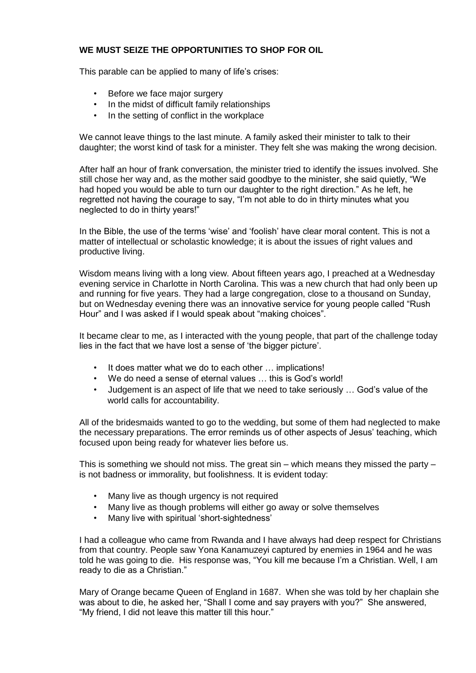## **WE MUST SEIZE THE OPPORTUNITIES TO SHOP FOR OIL**

This parable can be applied to many of life"s crises:

- Before we face major surgery
- In the midst of difficult family relationships
- In the setting of conflict in the workplace

We cannot leave things to the last minute. A family asked their minister to talk to their daughter; the worst kind of task for a minister. They felt she was making the wrong decision.

After half an hour of frank conversation, the minister tried to identify the issues involved. She still chose her way and, as the mother said goodbye to the minister, she said quietly, "We had hoped you would be able to turn our daughter to the right direction." As he left, he regretted not having the courage to say, "I"m not able to do in thirty minutes what you neglected to do in thirty years!"

In the Bible, the use of the terms 'wise' and 'foolish' have clear moral content. This is not a matter of intellectual or scholastic knowledge; it is about the issues of right values and productive living.

Wisdom means living with a long view. About fifteen years ago, I preached at a Wednesday evening service in Charlotte in North Carolina. This was a new church that had only been up and running for five years. They had a large congregation, close to a thousand on Sunday, but on Wednesday evening there was an innovative service for young people called "Rush Hour" and I was asked if I would speak about "making choices".

It became clear to me, as I interacted with the young people, that part of the challenge today lies in the fact that we have lost a sense of 'the bigger picture'.

- It does matter what we do to each other ... implications!
- We do need a sense of eternal values ... this is God's world!
- Judgement is an aspect of life that we need to take seriously … God"s value of the world calls for accountability.

All of the bridesmaids wanted to go to the wedding, but some of them had neglected to make the necessary preparations. The error reminds us of other aspects of Jesus" teaching, which focused upon being ready for whatever lies before us.

This is something we should not miss. The great  $sin -$  which means they missed the party  $$ is not badness or immorality, but foolishness. It is evident today:

- Many live as though urgency is not required
- Many live as though problems will either go away or solve themselves
- Many live with spiritual 'short-sightedness'

I had a colleague who came from Rwanda and I have always had deep respect for Christians from that country. People saw Yona Kanamuzeyi captured by enemies in 1964 and he was told he was going to die. His response was, "You kill me because I"m a Christian. Well, I am ready to die as a Christian."

Mary of Orange became Queen of England in 1687. When she was told by her chaplain she was about to die, he asked her, "Shall I come and say prayers with you?" She answered, "My friend, I did not leave this matter till this hour."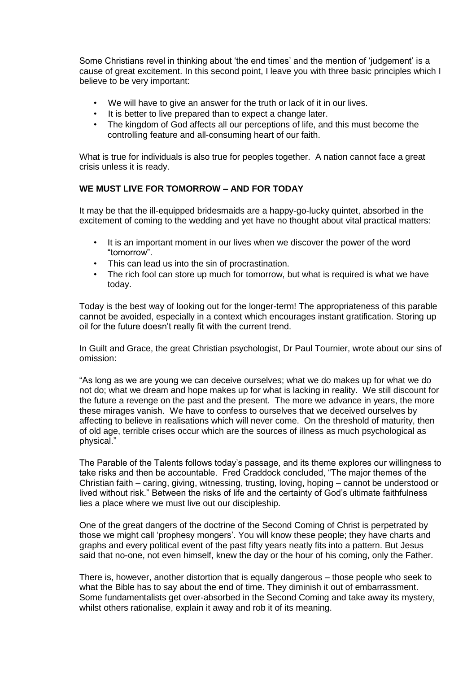Some Christians revel in thinking about "the end times" and the mention of "judgement" is a cause of great excitement. In this second point, I leave you with three basic principles which I believe to be very important:

- We will have to give an answer for the truth or lack of it in our lives.
- It is better to live prepared than to expect a change later.
- The kingdom of God affects all our perceptions of life, and this must become the controlling feature and all-consuming heart of our faith.

What is true for individuals is also true for peoples together. A nation cannot face a great crisis unless it is ready.

#### **WE MUST LIVE FOR TOMORROW – AND FOR TODAY**

It may be that the ill-equipped bridesmaids are a happy-go-lucky quintet, absorbed in the excitement of coming to the wedding and yet have no thought about vital practical matters:

- It is an important moment in our lives when we discover the power of the word "tomorrow".
- This can lead us into the sin of procrastination.
- The rich fool can store up much for tomorrow, but what is required is what we have today.

Today is the best way of looking out for the longer-term! The appropriateness of this parable cannot be avoided, especially in a context which encourages instant gratification. Storing up oil for the future doesn't really fit with the current trend.

In Guilt and Grace, the great Christian psychologist, Dr Paul Tournier, wrote about our sins of omission:

"As long as we are young we can deceive ourselves; what we do makes up for what we do not do; what we dream and hope makes up for what is lacking in reality. We still discount for the future a revenge on the past and the present. The more we advance in years, the more these mirages vanish. We have to confess to ourselves that we deceived ourselves by affecting to believe in realisations which will never come. On the threshold of maturity, then of old age, terrible crises occur which are the sources of illness as much psychological as physical."

The Parable of the Talents follows today"s passage, and its theme explores our willingness to take risks and then be accountable. Fred Craddock concluded, "The major themes of the Christian faith – caring, giving, witnessing, trusting, loving, hoping – cannot be understood or lived without risk." Between the risks of life and the certainty of God"s ultimate faithfulness lies a place where we must live out our discipleship.

One of the great dangers of the doctrine of the Second Coming of Christ is perpetrated by those we might call "prophesy mongers". You will know these people; they have charts and graphs and every political event of the past fifty years neatly fits into a pattern. But Jesus said that no-one, not even himself, knew the day or the hour of his coming, only the Father.

There is, however, another distortion that is equally dangerous – those people who seek to what the Bible has to say about the end of time. They diminish it out of embarrassment. Some fundamentalists get over-absorbed in the Second Coming and take away its mystery, whilst others rationalise, explain it away and rob it of its meaning.